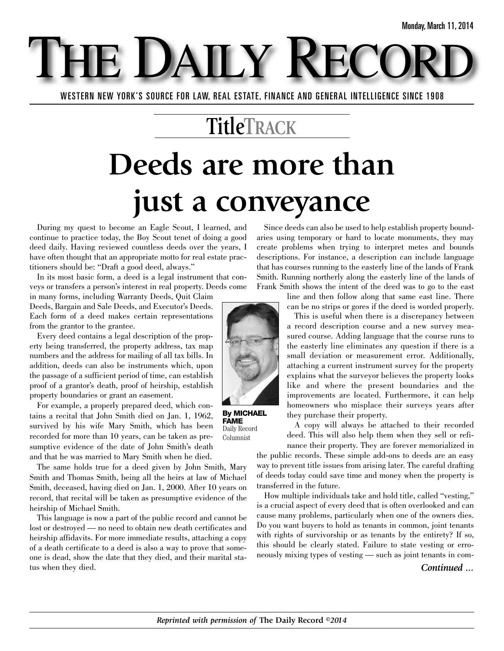WESTERN NEW YORK'S SOURCE FOR LAW, REAL ESTATE, FINANCE AND GENERAL INTELLIGENCE SINCE 1908

E DAILY

### **TitleTRACK**

# **Deeds are more than just a conveyance**

During my quest to become an Eagle Scout, I learned, and continue to practice today, the Boy Scout tenet of doing a good deed daily. Having reviewed countless deeds over the years, I have often thought that an appropriate motto for real estate practitioners should be: "Draft a good deed, always."

In its most basic form, a deed is a legal instrument that conveys or transfers a person's interest in real property. Deeds come

in many forms, including Warranty Deeds, Quit Claim Deeds, Bargain and Sale Deeds, and Executor's Deeds. Each form of a deed makes certain representations from the grantor to the grantee.

Every deed contains a legal description of the property being transferred, the property address, tax map numbers and the address for mailing of all tax bills. In addition, deeds can also be instruments which, upon the passage of a sufficient period of time, can establish proof of a grantor's death, proof of heirship, establish property boundaries or grant an easement.

For example, a properly prepared deed, which contains a recital that John Smith died on Jan. 1, 1962, survived by his wife Mary Smith, which has been recorded for more than 10 years, can be taken as presumptive evidence of the date of John Smith's death and that he was married to Mary Smith when he died.

The same holds true for a deed given by John Smith, Mary Smith and Thomas Smith, being all the heirs at law of Michael Smith, deceased, having died on Jan. 1, 2000. After 10 years on record, that recital will be taken as presumptive evidence of the heirship of Michael Smith.

This language is now a part of the public record and cannot be lost or destroyed — no need to obtain new death certificates and heirship affidavits. For more immediate results, attaching a copy of a death certificate to a deed is also a way to prove that someone is dead, show the date that they died, and their marital status when they died.

Since deeds can also be used to help establish property boundaries using temporary or hard to locate monuments, they may create problems when trying to interpret metes and bounds descriptions. For instance, a description can include language that has courses running to the easterly line of the lands of Frank Smith. Running northerly along the easterly line of the lands of Frank Smith shows the intent of the deed was to go to the east

> line and then follow along that same east line. There can be no strips or gores if the deed is worded properly.

This is useful when there is a discrepancy between a record description course and a new survey measured course. Adding language that the course runs to the easterly line eliminates any question if there is a small deviation or measurement error. Additionally, attaching a current instrument survey for the property explains what the surveyor believes the property looks like and where the present boundaries and the improvements are located. Furthermore, it can help homeowners who misplace their surveys years after they purchase their property.

A copy will always be attached to their recorded deed. This will also help them when they sell or refinance their property. They are forever memorialized in

the public records. These simple add-ons to deeds are an easy way to prevent title issues from arising later. The careful drafting of deeds today could save time and money when the property is transferred in the future.

How multiple individuals take and hold title, called "vesting," is a crucial aspect of every deed that is often overlooked and can cause many problems, particularly when one of the owners dies. Do you want buyers to hold as tenants in common, joint tenants with rights of survivorship or as tenants by the entirety? If so, this should be clearly stated. Failure to state vesting or erroneously mixing types of vesting — such as joint tenants in com-

*Continued ...*



**By MICHAEL FAME** Daily Record Columnist